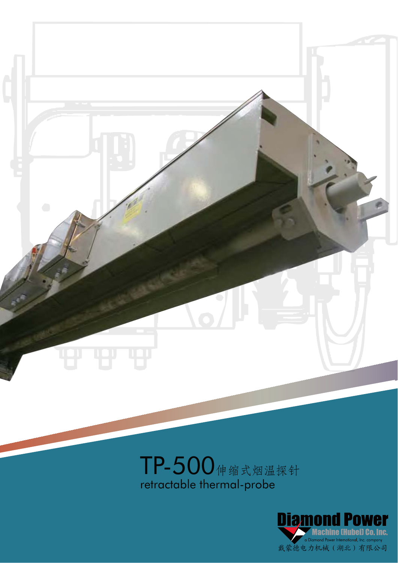

# TP-500伸缩式烟温探针 retractable thermal-probe

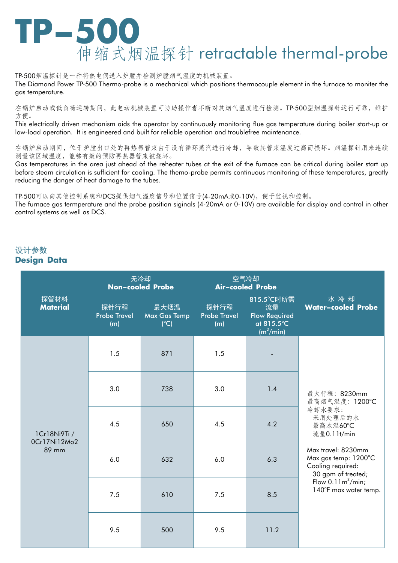

TP-500烟温探针是一种将热电偶送入炉膛并检测炉膛烟气温度的机械装置。

The Diamond Power TP-500 Thermo-probe is a mechanical which positions thermocouple element in the furnace to moniter the gas temperature.

在锅炉启动或低负荷运转期间, 此电动机械装置可协助操作者不断对其烟气温度进行检测。TP-500型烟温探针运行可靠, 维护 方便。

This electrically driven mechanism aids the operator by continuously monitoring flue gas temperature during boiler start-up or low-load operation. It is engineered and built for reliable operation and troublefree maintenance.

在锅炉启动期间、位于炉膛出口处的再热器管束由于没有循环蒸汽进行冷却、导致其管束温度过高而损坏。烟温探针用来连续 测量该区域温度,能够有效的预防再热器管束被烧坏。

Gas temperatures in the area just ahead of the reheater tubes at the exit of the furnace can be critical during boiler start up before steam circulation is sufficient for cooling. The themo-probe permits continuous monitoring of these temperatures, greatly reducing the danger of heat damage to the tubes.

TP-500可以向其他控制系统和DCS提供烟气温度信号和位置信号(4-20mA或0-10V)、便于监视和控制。

The furnace gas termperature and the probe position siginals (4-20mA or 0-10V) are available for display and control in other control systems as well as DCS.

## 设计参数 **Design Data**

| 探管材料<br><b>Material</b>               | 无冷却<br><b>Non-cooled Probe</b>     |                                              | 空气冷却<br><b>Air-cooled Probe</b>    |                                                                                 |                                                                                                                                                                                                                         |
|---------------------------------------|------------------------------------|----------------------------------------------|------------------------------------|---------------------------------------------------------------------------------|-------------------------------------------------------------------------------------------------------------------------------------------------------------------------------------------------------------------------|
|                                       | 探针行程<br><b>Probe Travel</b><br>(m) | 最大烟温<br><b>Max Gas Temp</b><br>$(^{\circ}C)$ | 探针行程<br><b>Probe Travel</b><br>(m) | 815.5°C时所需<br>流量<br><b>Flow Required</b><br>at 815.5°C<br>(m <sup>3</sup> /min) | 水冷却<br><b>Water-cooled Probe</b>                                                                                                                                                                                        |
| 1Cr18Ni9Ti /<br>0Cr17Ni12Mo2<br>89 mm | 1.5                                | 871                                          | 1.5                                |                                                                                 | 最大行程: 8230mm<br>最高烟气温度: 1200°C<br>冷却水要求:<br>采用处理后的水<br>最高水温60℃<br>流量0.11t/min<br>Max travel: 8230mm<br>Max gas temp: 1200°C<br>Cooling required:<br>30 gpm of treated;<br>Flow $0.11m^3/min$ ;<br>140°F max water temp. |
|                                       | 3.0                                | 738                                          | 3.0                                | 1.4                                                                             |                                                                                                                                                                                                                         |
|                                       | 4.5                                | 650                                          | 4.5                                | 4.2                                                                             |                                                                                                                                                                                                                         |
|                                       | 6.0                                | 632                                          | 6.0                                | 6.3                                                                             |                                                                                                                                                                                                                         |
|                                       | 7.5                                | 610                                          | 7.5                                | 8.5                                                                             |                                                                                                                                                                                                                         |
|                                       | 9.5                                | 500                                          | 9.5                                | 11.2                                                                            |                                                                                                                                                                                                                         |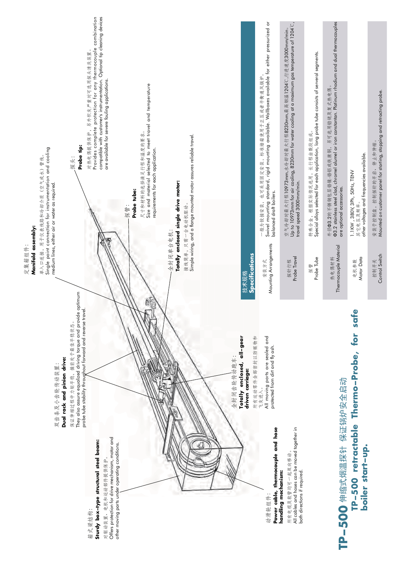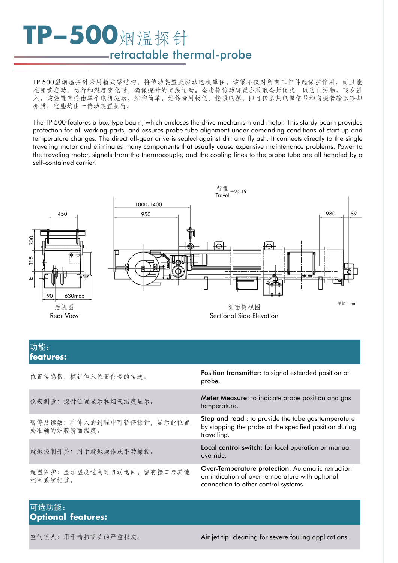# **TP-500烟温探针** retractable thermal-probe

TP-500型烟温探针采用箱式梁结构,将传动装置及驱动电机罩住,该梁不仅对所有工作件起保护作用,而且能 在频繁启动、运行和温度变化时,确保探针的直线运动。全齿轮传动装置亦采取全封闭式,以防止污物、飞灰进 入,该装置直接由单个电机驱动,结构简单,维修费用极低。接通电源,即可传送热电偶信号和向探管输送冷却 介质,这些均由一传动装置执行。

The TP-500 features a box-type beam, which encloses the drive mechanism and motor. This sturdy beam provides protection for all working parts, and assures probe tube alignment under demanding conditions of start-up and temperature changes. The direct all-gear drive is sealed against dirt and fly ash. It connects directly to the single traveling motor and eliminates many components that usually cause expensive maintenance problems. Power to the traveling motor, signals from the thermocouple, and the cooling lines to the probe tube are all handled by a self-contained carrier.



#### 功能: **features:**

| 位置传感器: 探针伸入位置信号的传送。                       | Position transmitter: to signal extended position of<br>probe.                                                                               |
|-------------------------------------------|----------------------------------------------------------------------------------------------------------------------------------------------|
| 仪表测量: 探针位置显示和烟气温度显示。                      | Meter Measure: to indicate probe position and gas<br>temperature.                                                                            |
| 暂停及读数: 在伸入的过程中可暂停探针, 显示此位置<br>处准确的炉膛断面温度。 | Stop and read : to provide the tube gas temperature<br>by stopping the probe at the specified position during<br>travelling.                 |
| 就地控制开关: 用于就地操作或手动操控。                      | Local control switch: for local operation or manual<br>override.                                                                             |
| 超温保护: 显示温度过高时自动退回, 留有接口与其他<br>控制系统相连。     | Over-Temperature protection: Automatic retraction<br>on indication of over temperature with optional<br>connection to other control systems. |

# 可选功能: **Optional features:**

空气喷头: 用于清扫喷头的严重积灰。<br>
Air jet tip: cleaning for severe fouling applications.